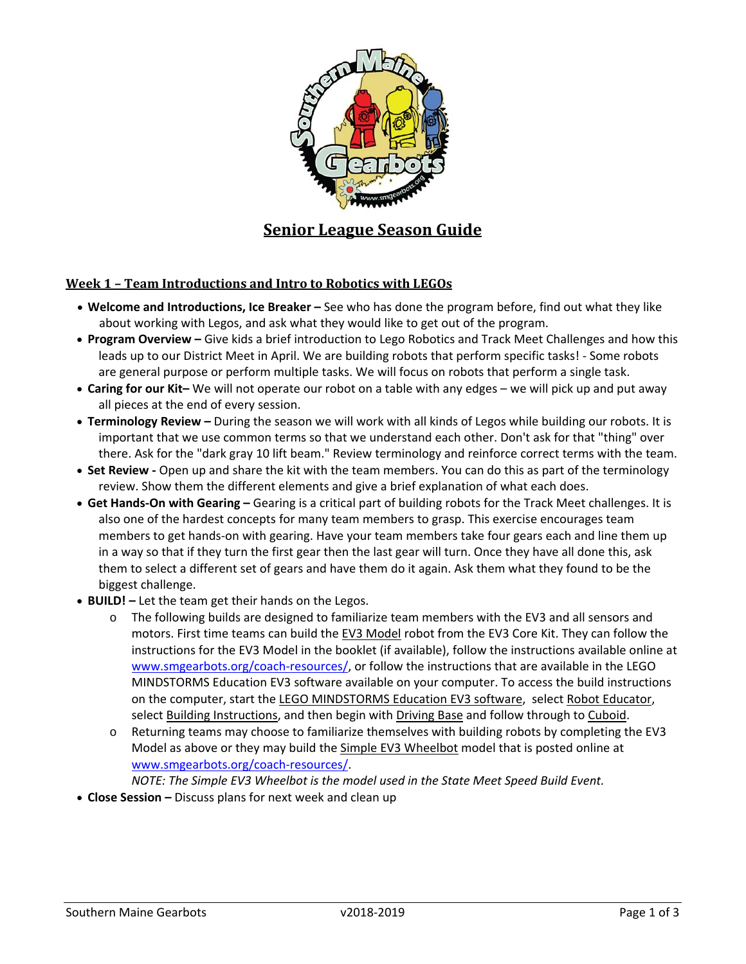

# **Senior League Season Guide**

#### **Week 1 – Team Introductions and Intro to Robotics with LEGOs**

- **Welcome and Introductions, Ice Breaker** See who has done the program before, find out what they like about working with Legos, and ask what they would like to get out of the program.
- **Program Overview** Give kids a brief introduction to Lego Robotics and Track Meet Challenges and how this leads up to our District Meet in April. We are building robots that perform specific tasks! ‐ Some robots are general purpose or perform multiple tasks. We will focus on robots that perform a single task.
- **Caring for our Kit–** We will not operate our robot on a table with any edges we will pick up and put away all pieces at the end of every session.
- **Terminology Review** During the season we will work with all kinds of Legos while building our robots. It is important that we use common terms so that we understand each other. Don't ask for that "thing" over there. Ask for the "dark gray 10 lift beam." Review terminology and reinforce correct terms with the team.
- **Set Review ‐** Open up and share the kit with the team members. You can do this as part of the terminology review. Show them the different elements and give a brief explanation of what each does.
- **Get Hands‐On with Gearing** Gearing is a critical part of building robots for the Track Meet challenges. It is also one of the hardest concepts for many team members to grasp. This exercise encourages team members to get hands‐on with gearing. Have your team members take four gears each and line them up in a way so that if they turn the first gear then the last gear will turn. Once they have all done this, ask them to select a different set of gears and have them do it again. Ask them what they found to be the biggest challenge.
- **BUILD!** Let the team get their hands on the Legos.
	- o The following builds are designed to familiarize team members with the EV3 and all sensors and motors. First time teams can build the EV3 Model robot from the EV3 Core Kit. They can follow the instructions for the EV3 Model in the booklet (if available), follow the instructions available online at www.smgearbots.org/coach-resources/, or follow the instructions that are available in the LEGO MINDSTORMS Education EV3 software available on your computer. To access the build instructions on the computer, start the LEGO MINDSTORMS Education EV3 software, select Robot Educator, select Building Instructions, and then begin with Driving Base and follow through to Cuboid.
	- o Returning teams may choose to familiarize themselves with building robots by completing the EV3 Model as above or they may build the Simple EV3 Wheelbot model that is posted online at www.smgearbots.org/coach‐resources/.

*NOTE: The Simple EV3 Wheelbot is the model used in the State Meet Speed Build Event.*

**Close Session –** Discuss plans for next week and clean up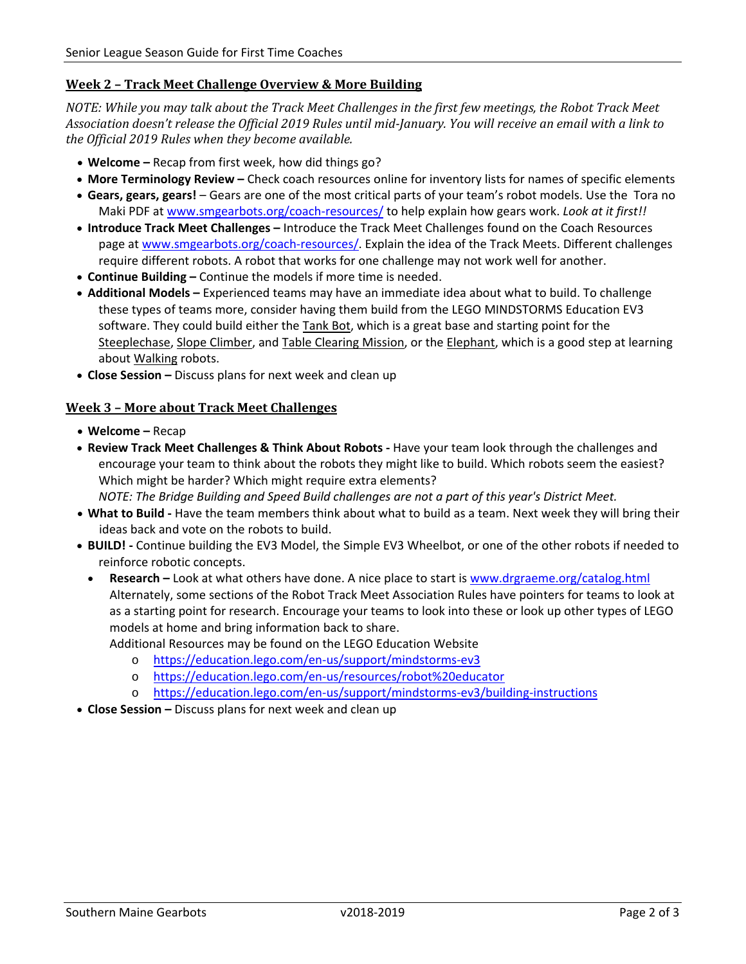## **Week 2 – Track Meet Challenge Overview & More Building**

NOTE: While you may talk about the Track Meet Challenges in the first few meetings, the Robot Track Meet Association doesn't release the Official 2019 Rules until mid-January. You will receive an email with a link to *the Official 2019 Rules when they become available.*

- **Welcome** Recap from first week, how did things go?
- **More Terminology Review** Check coach resources online for inventory lists for names of specific elements
- **Gears, gears, gears!** Gears are one of the most critical parts of your team's robot models. Use the Tora no Maki PDF at www.smgearbots.org/coach‐resources/ to help explain how gears work. *Look at it first!!*
- **Introduce Track Meet Challenges** Introduce the Track Meet Challenges found on the Coach Resources page at www.smgearbots.org/coach‐resources/. Explain the idea of the Track Meets. Different challenges require different robots. A robot that works for one challenge may not work well for another.
- **Continue Building** Continue the models if more time is needed.
- **Additional Models –** Experienced teams may have an immediate idea about what to build. To challenge these types of teams more, consider having them build from the LEGO MINDSTORMS Education EV3 software. They could build either the Tank Bot, which is a great base and starting point for the Steeplechase, Slope Climber, and Table Clearing Mission, or the Elephant, which is a good step at learning about Walking robots.
- **Close Session** Discuss plans for next week and clean up

## **Week 3 – More about Track Meet Challenges**

- **Welcome** Recap
- **Review Track Meet Challenges & Think About Robots ‐** Have your team look through the challenges and encourage your team to think about the robots they might like to build. Which robots seem the easiest? Which might be harder? Which might require extra elements?

*NOTE: The Bridge Building and Speed Build challenges are not a part of this year's District Meet.* 

- **What to Build ‐** Have the team members think about what to build as a team. Next week they will bring their ideas back and vote on the robots to build.
- **BUILD! ‐** Continue building the EV3 Model, the Simple EV3 Wheelbot, or one of the other robots if needed to reinforce robotic concepts.
	- **Research –** Look at what others have done. A nice place to start is www.drgraeme.org/catalog.html Alternately, some sections of the Robot Track Meet Association Rules have pointers for teams to look at as a starting point for research. Encourage your teams to look into these or look up other types of LEGO models at home and bring information back to share.

Additional Resources may be found on the LEGO Education Website

- o https://education.lego.com/en‐us/support/mindstorms‐ev3
- o https://education.lego.com/en‐us/resources/robot%20educator
- https://education.lego.com/en-us/support/mindstorms-ev3/building-instructions
- **Close Session** Discuss plans for next week and clean up